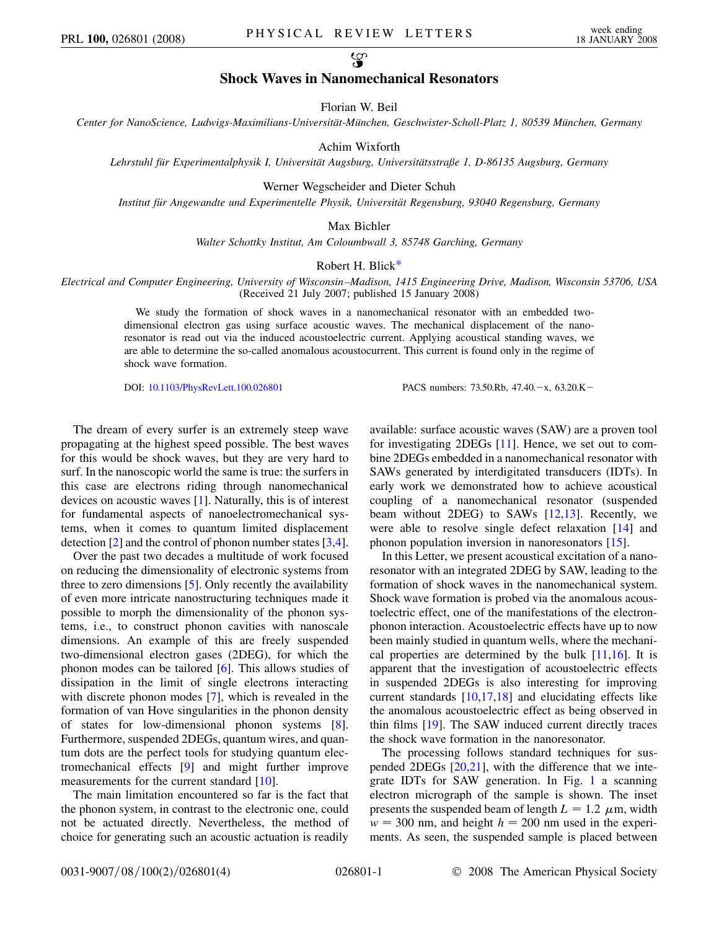လ္စာ

## **Shock Waves in Nanomechanical Resonators**

Florian W. Beil

*Center for NanoScience, Ludwigs-Maximilians-Universita¨t-Mu¨nchen, Geschwister-Scholl-Platz 1, 80539 Mu¨nchen, Germany*

Achim Wixforth

*Lehrstuhl fu¨r Experimentalphysik I, Universita¨t Augsburg, Universita¨tsstraße 1, D-86135 Augsburg, Germany*

Werner Wegscheider and Dieter Schuh

*Institut fu¨r Angewandte und Experimentelle Physik, Universita¨t Regensburg, 93040 Regensburg, Germany*

Max Bichler

*Walter Schottky Institut, Am Coloumbwall 3, 85748 Garching, Germany*

## Robert H. Blic[k\\*](#page-3-0)

<span id="page-0-0"></span>*Electrical and Computer Engineering, University of Wisconsin–Madison, 1415 Engineering Drive, Madison, Wisconsin 53706, USA* (Received 21 July 2007; published 15 January 2008)

> We study the formation of shock waves in a nanomechanical resonator with an embedded twodimensional electron gas using surface acoustic waves. The mechanical displacement of the nanoresonator is read out via the induced acoustoelectric current. Applying acoustical standing waves, we are able to determine the so-called anomalous acoustocurrent. This current is found only in the regime of shock wave formation.

DOI: [10.1103/PhysRevLett.100.026801](http://dx.doi.org/10.1103/PhysRevLett.100.026801) PACS numbers: 73.50.Rb, 47.40. - x, 63.20.K -

The dream of every surfer is an extremely steep wave propagating at the highest speed possible. The best waves for this would be shock waves, but they are very hard to surf. In the nanoscopic world the same is true: the surfers in this case are electrons riding through nanomechanical devices on acoustic waves [[1\]](#page-3-1). Naturally, this is of interest for fundamental aspects of nanoelectromechanical systems, when it comes to quantum limited displacement detection [\[2](#page-3-2)] and the control of phonon number states [[3](#page-3-3),[4\]](#page-3-4).

Over the past two decades a multitude of work focused on reducing the dimensionality of electronic systems from three to zero dimensions [[5\]](#page-3-5). Only recently the availability of even more intricate nanostructuring techniques made it possible to morph the dimensionality of the phonon systems, i.e., to construct phonon cavities with nanoscale dimensions. An example of this are freely suspended two-dimensional electron gases (2DEG), for which the phonon modes can be tailored [\[6](#page-3-6)]. This allows studies of dissipation in the limit of single electrons interacting with discrete phonon modes [\[7\]](#page-3-7), which is revealed in the formation of van Hove singularities in the phonon density of states for low-dimensional phonon systems [[8\]](#page-3-8). Furthermore, suspended 2DEGs, quantum wires, and quantum dots are the perfect tools for studying quantum electromechanical effects [[9](#page-3-9)] and might further improve measurements for the current standard [[10](#page-3-10)].

The main limitation encountered so far is the fact that the phonon system, in contrast to the electronic one, could not be actuated directly. Nevertheless, the method of choice for generating such an acoustic actuation is readily available: surface acoustic waves (SAW) are a proven tool for investigating 2DEGs [[11](#page-3-11)]. Hence, we set out to combine 2DEGs embedded in a nanomechanical resonator with SAWs generated by interdigitated transducers (IDTs). In early work we demonstrated how to achieve acoustical coupling of a nanomechanical resonator (suspended beam without 2DEG) to SAWs [\[12,](#page-3-12)[13\]](#page-3-13). Recently, we were able to resolve single defect relaxation [[14\]](#page-3-14) and phonon population inversion in nanoresonators [[15](#page-3-15)].

In this Letter, we present acoustical excitation of a nanoresonator with an integrated 2DEG by SAW, leading to the formation of shock waves in the nanomechanical system. Shock wave formation is probed via the anomalous acoustoelectric effect, one of the manifestations of the electronphonon interaction. Acoustoelectric effects have up to now been mainly studied in quantum wells, where the mechanical properties are determined by the bulk [[11](#page-3-11),[16](#page-3-16)]. It is apparent that the investigation of acoustoelectric effects in suspended 2DEGs is also interesting for improving current standards  $[10,17,18]$  $[10,17,18]$  $[10,17,18]$  $[10,17,18]$  $[10,17,18]$  $[10,17,18]$  $[10,17,18]$  and elucidating effects like the anomalous acoustoelectric effect as being observed in thin films [\[19\]](#page-3-19). The SAW induced current directly traces the shock wave formation in the nanoresonator.

The processing follows standard techniques for suspended 2DEGs [[20](#page-3-20),[21](#page-3-21)], with the difference that we integrate IDTs for SAW generation. In Fig. [1](#page-1-0) a scanning electron micrograph of the sample is shown. The inset presents the suspended beam of length  $L = 1.2 \mu$ m, width  $w = 300$  nm, and height  $h = 200$  nm used in the experiments. As seen, the suspended sample is placed between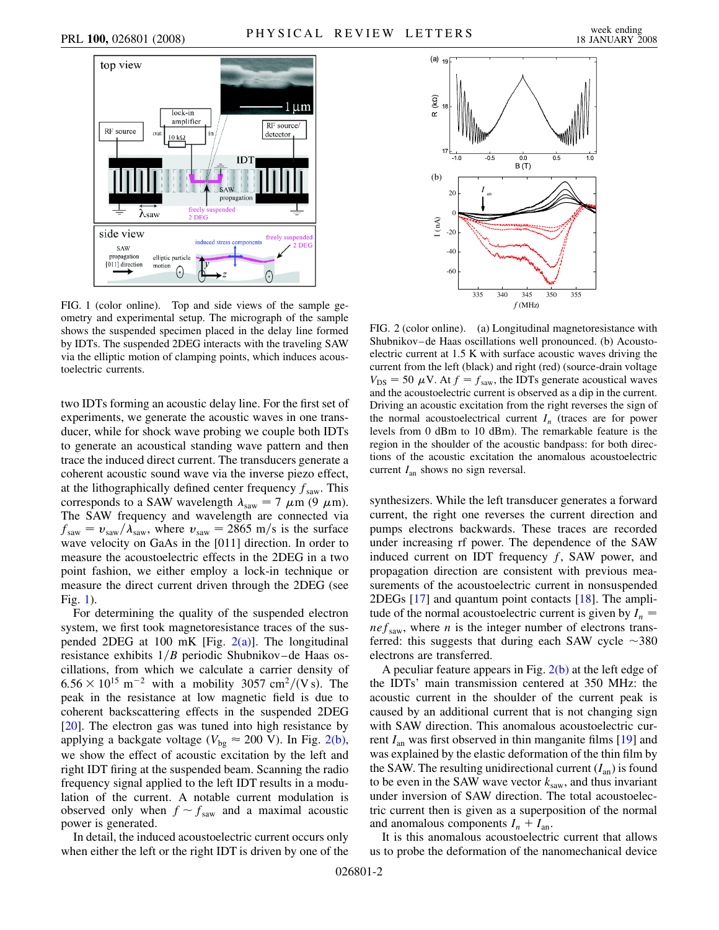<span id="page-1-0"></span>

FIG. 1 (color online). Top and side views of the sample geometry and experimental setup. The micrograph of the sample shows the suspended specimen placed in the delay line formed by IDTs. The suspended 2DEG interacts with the traveling SAW via the elliptic motion of clamping points, which induces acoustoelectric currents.

two IDTs forming an acoustic delay line. For the first set of experiments, we generate the acoustic waves in one transducer, while for shock wave probing we couple both IDTs to generate an acoustical standing wave pattern and then trace the induced direct current. The transducers generate a coherent acoustic sound wave via the inverse piezo effect, at the lithographically defined center frequency  $f_{\text{saw}}$ . This corresponds to a SAW wavelength  $\lambda_{\text{sav}} = 7 \mu \text{m} (9 \mu \text{m}).$ The SAW frequency and wavelength are connected via  $f_{\text{sav}} = v_{\text{sav}} / \lambda_{\text{sav}}$ , where  $v_{\text{sav}} = 2865 \text{ m/s}$  is the surface wave velocity on GaAs in the [011] direction. In order to measure the acoustoelectric effects in the 2DEG in a two point fashion, we either employ a lock-in technique or measure the direct current driven through the 2DEG (see Fig. [1\)](#page-1-0).

For determining the quality of the suspended electron system, we first took magnetoresistance traces of the suspended 2DEG at 100 mK [Fig.  $2(a)$ ]. The longitudinal resistance exhibits  $1/B$  periodic Shubnikov–de Haas oscillations, from which we calculate a carrier density of  $6.56 \times 10^{15}$  m<sup>-2</sup> with a mobility 3057 cm<sup>2</sup>/(Vs). The peak in the resistance at low magnetic field is due to coherent backscattering effects in the suspended 2DEG [\[20\]](#page-3-20). The electron gas was tuned into high resistance by applying a backgate voltage ( $V_{bg} \approx 200$  V). In Fig. [2\(b\)](#page-1-1), we show the effect of acoustic excitation by the left and right IDT firing at the suspended beam. Scanning the radio frequency signal applied to the left IDT results in a modulation of the current. A notable current modulation is observed only when  $f \sim f_{\text{saw}}$  and a maximal acoustic power is generated.

In detail, the induced acoustoelectric current occurs only when either the left or the right IDT is driven by one of the



<span id="page-1-1"></span>FIG. 2 (color online). (a) Longitudinal magnetoresistance with Shubnikov–de Haas oscillations well pronounced. (b) Acoustoelectric current at 1.5 K with surface acoustic waves driving the current from the left (black) and right (red) (source-drain voltage  $V_{DS} = 50 \mu V$ . At  $f = f_{saw}$ , the IDTs generate acoustical waves and the acoustoelectric current is observed as a dip in the current. Driving an acoustic excitation from the right reverses the sign of the normal acoustoelectrical current  $I_n$  (traces are for power levels from 0 dBm to 10 dBm). The remarkable feature is the region in the shoulder of the acoustic bandpass: for both directions of the acoustic excitation the anomalous acoustoelectric current *I*an shows no sign reversal.

synthesizers. While the left transducer generates a forward current, the right one reverses the current direction and pumps electrons backwards. These traces are recorded under increasing rf power. The dependence of the SAW induced current on IDT frequency *f*, SAW power, and propagation direction are consistent with previous measurements of the acoustoelectric current in nonsuspended 2DEGs [\[17\]](#page-3-17) and quantum point contacts [\[18\]](#page-3-18). The amplitude of the normal acoustoelectric current is given by  $I_n =$  $nef<sub>raw</sub>$ , where *n* is the integer number of electrons transferred: this suggests that during each SAW cycle  $\sim$ 380 electrons are transferred.

A peculiar feature appears in Fig.  $2(b)$  at the left edge of the IDTs' main transmission centered at 350 MHz: the acoustic current in the shoulder of the current peak is caused by an additional current that is not changing sign with SAW direction. This anomalous acoustoelectric current *I*an was first observed in thin manganite films [\[19\]](#page-3-19) and was explained by the elastic deformation of the thin film by the SAW. The resulting unidirectional current  $(I_{an})$  is found to be even in the SAW wave vector  $k_{\text{sav}}$ , and thus invariant under inversion of SAW direction. The total acoustoelectric current then is given as a superposition of the normal and anomalous components  $I_n + I_{an}$ .

It is this anomalous acoustoelectric current that allows us to probe the deformation of the nanomechanical device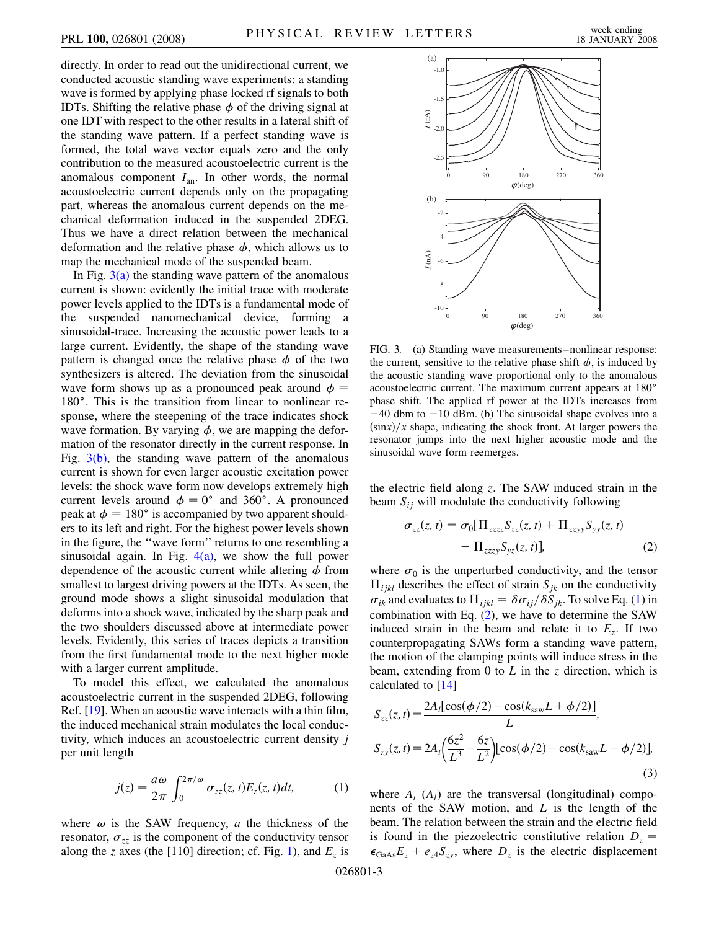directly. In order to read out the unidirectional current, we conducted acoustic standing wave experiments: a standing wave is formed by applying phase locked rf signals to both IDTs. Shifting the relative phase  $\phi$  of the driving signal at one IDT with respect to the other results in a lateral shift of the standing wave pattern. If a perfect standing wave is formed, the total wave vector equals zero and the only contribution to the measured acoustoelectric current is the anomalous component *I*an. In other words, the normal acoustoelectric current depends only on the propagating part, whereas the anomalous current depends on the mechanical deformation induced in the suspended 2DEG. Thus we have a direct relation between the mechanical deformation and the relative phase  $\phi$ , which allows us to map the mechanical mode of the suspended beam.

In Fig.  $3(a)$  the standing wave pattern of the anomalous current is shown: evidently the initial trace with moderate power levels applied to the IDTs is a fundamental mode of the suspended nanomechanical device, forming a sinusoidal-trace. Increasing the acoustic power leads to a large current. Evidently, the shape of the standing wave pattern is changed once the relative phase  $\phi$  of the two synthesizers is altered. The deviation from the sinusoidal wave form shows up as a pronounced peak around  $\phi =$ 180 $^{\circ}$ . This is the transition from linear to nonlinear response, where the steepening of the trace indicates shock wave formation. By varying  $\phi$ , we are mapping the deformation of the resonator directly in the current response. In Fig.  $3(b)$ , the standing wave pattern of the anomalous current is shown for even larger acoustic excitation power levels: the shock wave form now develops extremely high current levels around  $\phi = 0^{\circ}$  and 360°. A pronounced peak at  $\phi = 180^\circ$  is accompanied by two apparent shoulders to its left and right. For the highest power levels shown in the figure, the ''wave form'' returns to one resembling a sinusoidal again. In Fig.  $4(a)$ , we show the full power dependence of the acoustic current while altering  $\phi$  from smallest to largest driving powers at the IDTs. As seen, the ground mode shows a slight sinusoidal modulation that deforms into a shock wave, indicated by the sharp peak and the two shoulders discussed above at intermediate power levels. Evidently, this series of traces depicts a transition from the first fundamental mode to the next higher mode with a larger current amplitude.

To model this effect, we calculated the anomalous acoustoelectric current in the suspended 2DEG, following Ref. [\[19\]](#page-3-19). When an acoustic wave interacts with a thin film, the induced mechanical strain modulates the local conductivity, which induces an acoustoelectric current density *j* per unit length

<span id="page-2-1"></span>
$$
j(z) = \frac{a\omega}{2\pi} \int_0^{2\pi/\omega} \sigma_{zz}(z, t) E_z(z, t) dt, \tag{1}
$$

where  $\omega$  is the SAW frequency, *a* the thickness of the resonator,  $\sigma_{zz}$  is the component of the conductivity tensor along the *z* axes (the [[1](#page-1-0)10] direction; cf. Fig. 1), and  $E_z$  is



<span id="page-2-0"></span>FIG. 3. (a) Standing wave measurements–nonlinear response: the current, sensitive to the relative phase shift  $\phi$ , is induced by the acoustic standing wave proportional only to the anomalous acoustoelectric current. The maximum current appears at 180 phase shift. The applied rf power at the IDTs increases from  $-40$  dbm to  $-10$  dBm. (b) The sinusoidal shape evolves into a  $\frac{\sin x}{x}$  shape, indicating the shock front. At larger powers the resonator jumps into the next higher acoustic mode and the sinusoidal wave form reemerges.

<span id="page-2-2"></span>the electric field along *z*. The SAW induced strain in the beam  $S_{ij}$  will modulate the conductivity following

$$
\sigma_{zz}(z, t) = \sigma_0[\Pi_{zzzz} S_{zz}(z, t) + \Pi_{zzyy} S_{yy}(z, t) + \Pi_{zzzy} S_{yz}(z, t)],
$$
\n
$$
(2)
$$

where  $\sigma_0$  is the unperturbed conductivity, and the tensor  $\Pi_{ijkl}$  describes the effect of strain  $S_{jk}$  on the conductivity  $\sigma_{ik}$  and evaluates to  $\Pi_{ijkl} = \delta \sigma_{ij}/\delta S_{jk}$ . To solve Eq. [\(1](#page-2-1)) in combination with Eq. [\(2](#page-2-2)), we have to determine the SAW induced strain in the beam and relate it to  $E<sub>z</sub>$ . If two counterpropagating SAWs form a standing wave pattern, the motion of the clamping points will induce stress in the beam, extending from 0 to  $L$  in the  $\zeta$  direction, which is calculated to [\[14\]](#page-3-14)

$$
S_{zz}(z, t) = \frac{2A_l[\cos(\phi/2) + \cos(k_{\text{sav}}L + \phi/2)]}{L},
$$
  
\n
$$
S_{zy}(z, t) = 2A_l \left(\frac{6z^2}{L^3} - \frac{6z}{L^2}\right) [\cos(\phi/2) - \cos(k_{\text{sav}}L + \phi/2)],
$$
\n(3)

where  $A_t$  ( $A_l$ ) are the transversal (longitudinal) components of the SAW motion, and *L* is the length of the beam. The relation between the strain and the electric field is found in the piezoelectric constitutive relation  $D_z =$  $\epsilon_{\text{GaAs}}E_z + e_{z4}S_{zy}$ , where  $D_z$  is the electric displacement